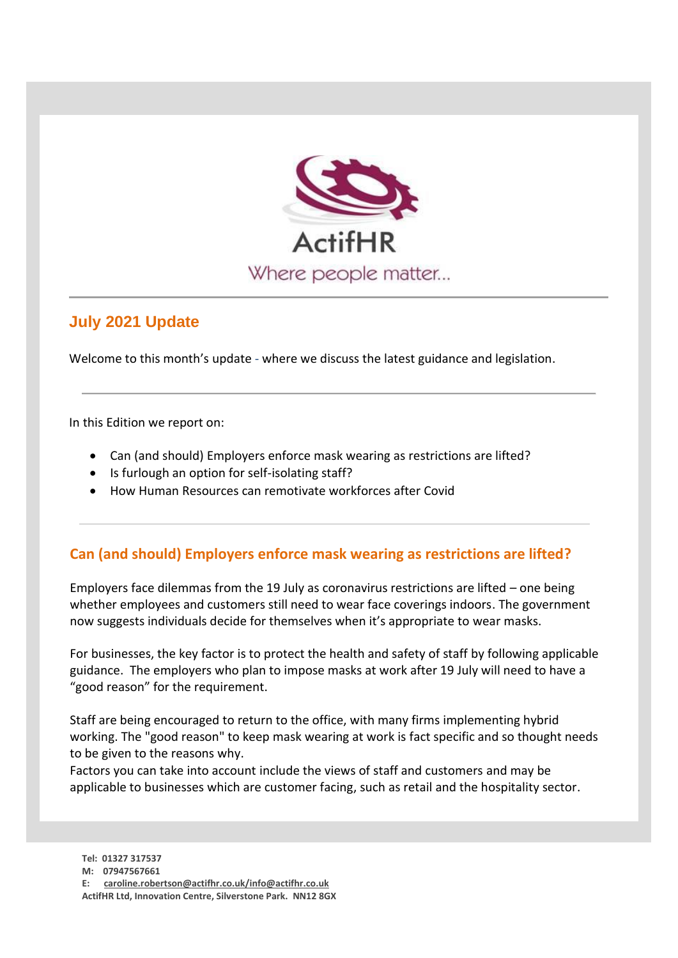

## **July 2021 Update**

Welcome to this month's update - where we discuss the latest guidance and legislation.

In this Edition we report on:

- Can (and should) Employers enforce mask wearing as restrictions are lifted?
- Is furlough an option for self-isolating staff?
- How Human Resources can remotivate workforces after Covid

## **Can (and should) Employers enforce mask wearing as restrictions are lifted?**

Employers face dilemmas from the 19 July as coronavirus restrictions are lifted – one being whether employees and customers still need to wear face coverings indoors. The government now suggests individuals decide for themselves when it's appropriate to wear masks.

For businesses, the key factor is to protect the health and safety of staff by following applicable guidance. The employers who plan to impose masks at work after 19 July will need to have a "good reason" for the requirement.

Staff are being encouraged to return to the office, with many firms implementing hybrid working. The "good reason" to keep mask wearing at work is fact specific and so thought needs to be given to the reasons why.

Factors you can take into account include the views of staff and customers and may be applicable to businesses which are customer facing, such as retail and the hospitality sector.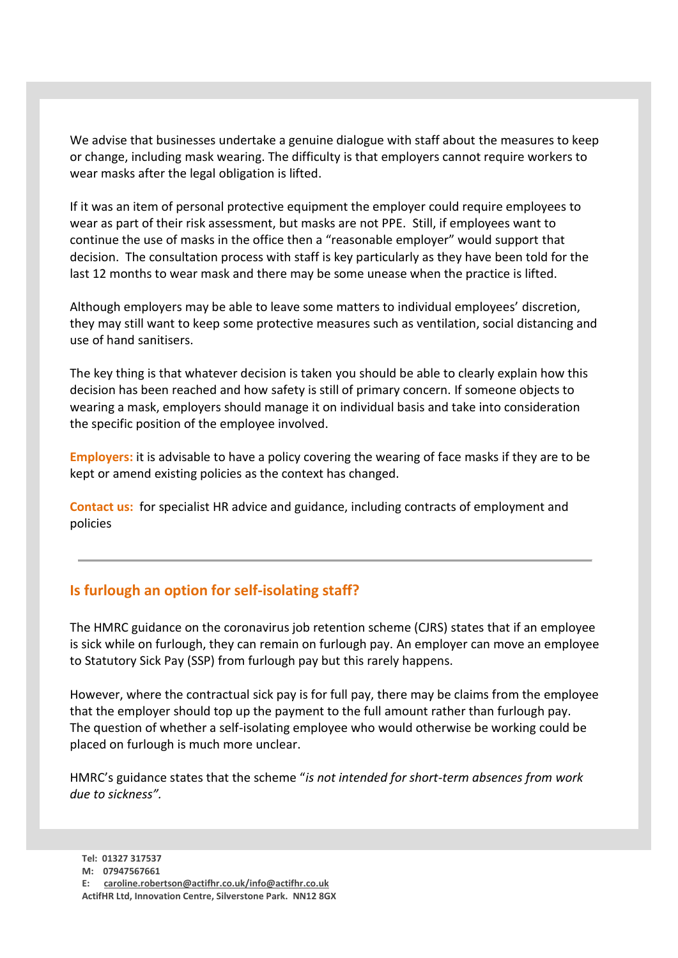We advise that businesses undertake a genuine dialogue with staff about the measures to keep or change, including mask wearing. The difficulty is that employers cannot require workers to wear masks after the legal obligation is lifted.

If it was an item of personal protective equipment the employer could require employees to wear as part of their risk assessment, but masks are not PPE. Still, if employees want to continue the use of masks in the office then a "reasonable employer" would support that decision. The consultation process with staff is key particularly as they have been told for the last 12 months to wear mask and there may be some unease when the practice is lifted.

Although employers may be able to leave some matters to individual employees' discretion, they may still want to keep some protective measures such as ventilation, social distancing and use of hand sanitisers.

The key thing is that whatever decision is taken you should be able to clearly explain how this decision has been reached and how safety is still of primary concern. If someone objects to wearing a mask, employers should manage it on individual basis and take into consideration the specific position of the employee involved.

**Employers:** it is advisable to have a policy covering the wearing of face masks if they are to be kept or amend existing policies as the context has changed.

**Contact us:** for specialist HR advice and guidance, including contracts of employment and policies

## **Is furlough an option for self-isolating staff?**

The HMRC guidance on the coronavirus job retention scheme (CJRS) states that if an employee is sick while on furlough, they can remain on furlough pay. An employer can move an employee to Statutory Sick Pay (SSP) from furlough pay but this rarely happens.

However, where the contractual sick pay is for full pay, there may be claims from the employee that the employer should top up the payment to the full amount rather than furlough pay. The question of whether a self-isolating employee who would otherwise be working could be placed on furlough is much more unclear.

HMRC's guidance states that the scheme "*is not intended for short-term absences from work due to sickness".*

**E: [caroline.robertson@actifhr.co.uk/info@actifhr.co.uk](mailto:dawn.wheatley@actifhr.co.uk/info@actifhr.co.uk)**

**ActifHR Ltd, Innovation Centre, Silverstone Park. NN12 8GX**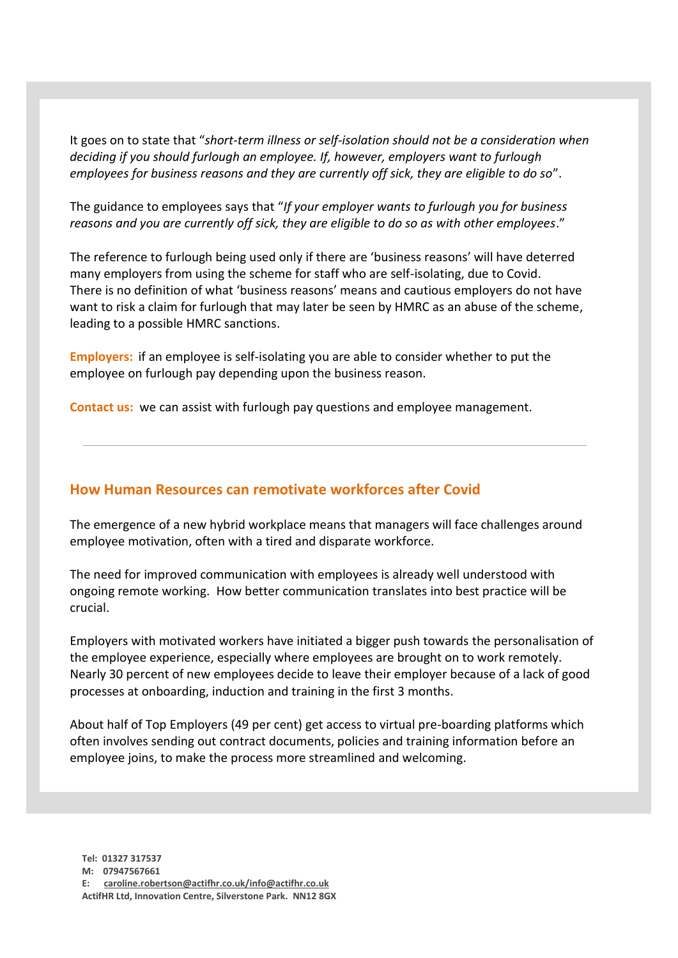It goes on to state that "*short-term illness or self-isolation should not be a consideration when deciding if you should furlough an employee. If, however, employers want to furlough employees for business reasons and they are currently off sick, they are eligible to do so*".

The guidance to employees says that "*If your employer wants to furlough you for business reasons and you are currently off sick, they are eligible to do so as with other employees*."

The reference to furlough being used only if there are 'business reasons' will have deterred many employers from using the scheme for staff who are self-isolating, due to Covid. There is no definition of what 'business reasons' means and cautious employers do not have want to risk a claim for furlough that may later be seen by HMRC as an abuse of the scheme, leading to a possible HMRC sanctions.

**Employers:** if an employee is self-isolating you are able to consider whether to put the employee on furlough pay depending upon the business reason.

**Contact us:** we can assist with furlough pay questions and employee management.

## **How Human Resources can remotivate workforces after Covid**

The emergence of a new hybrid workplace means that managers will face challenges around employee motivation, often with a tired and disparate workforce.

The need for improved communication with employees is already well understood with ongoing remote working. How better communication translates into best practice will be crucial.

Employers with motivated workers have initiated a bigger push towards the personalisation of the employee experience, especially where employees are brought on to work remotely. Nearly 30 percent of new employees decide to leave their employer because of a lack of good processes at onboarding, induction and training in the first 3 months.

About half of Top Employers (49 per cent) get access to virtual pre-boarding platforms which often involves sending out contract documents, policies and training information before an employee joins, to make the process more streamlined and welcoming.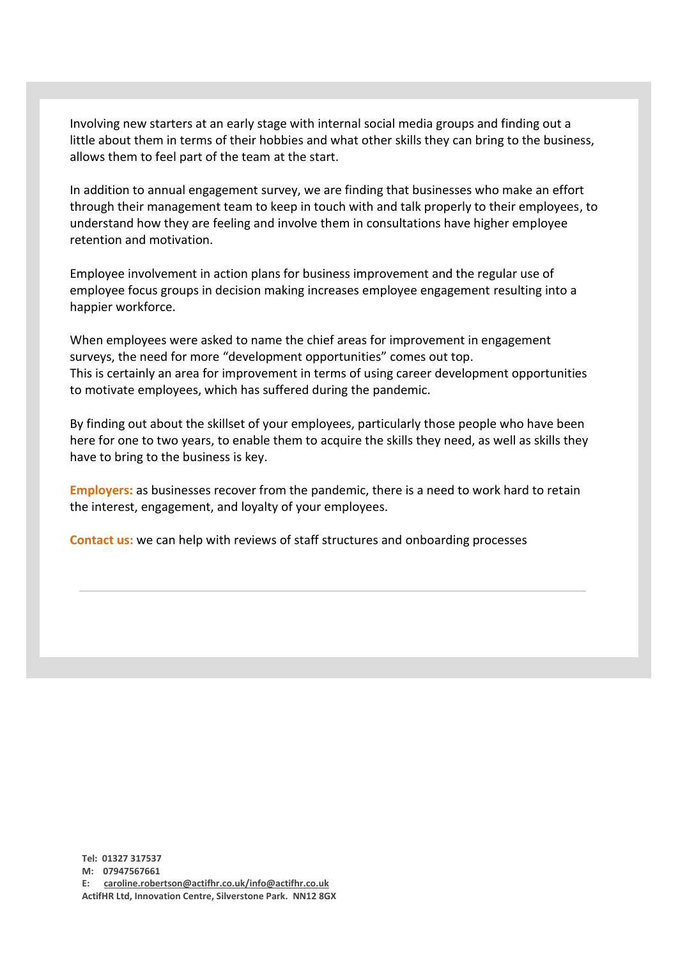Involving new starters at an early stage with internal social media groups and finding out a little about them in terms of their hobbies and what other skills they can bring to the business, allows them to feel part of the team at the start.

In addition to annual engagement survey, we are finding that businesses who make an effort through their management team to keep in touch with and talk properly to their employees, to understand how they are feeling and involve them in consultations have higher employee retention and motivation.

Employee involvement in action plans for business improvement and the regular use of employee focus groups in decision making increases employee engagement resulting into a happier workforce.

When employees were asked to name the chief areas for improvement in engagement surveys, the need for more "development opportunities" comes out top. This is certainly an area for improvement in terms of using career development opportunities to motivate employees, which has suffered during the pandemic.

By finding out about the skillset of your employees, particularly those people who have been here for one to two years, to enable them to acquire the skills they need, as well as skills they have to bring to the business is key.

**Employers:** as businesses recover from the pandemic, there is a need to work hard to retain the interest, engagement, and loyalty of your employees.

**Contact us:** we can help with reviews of staff structures and onboarding processes